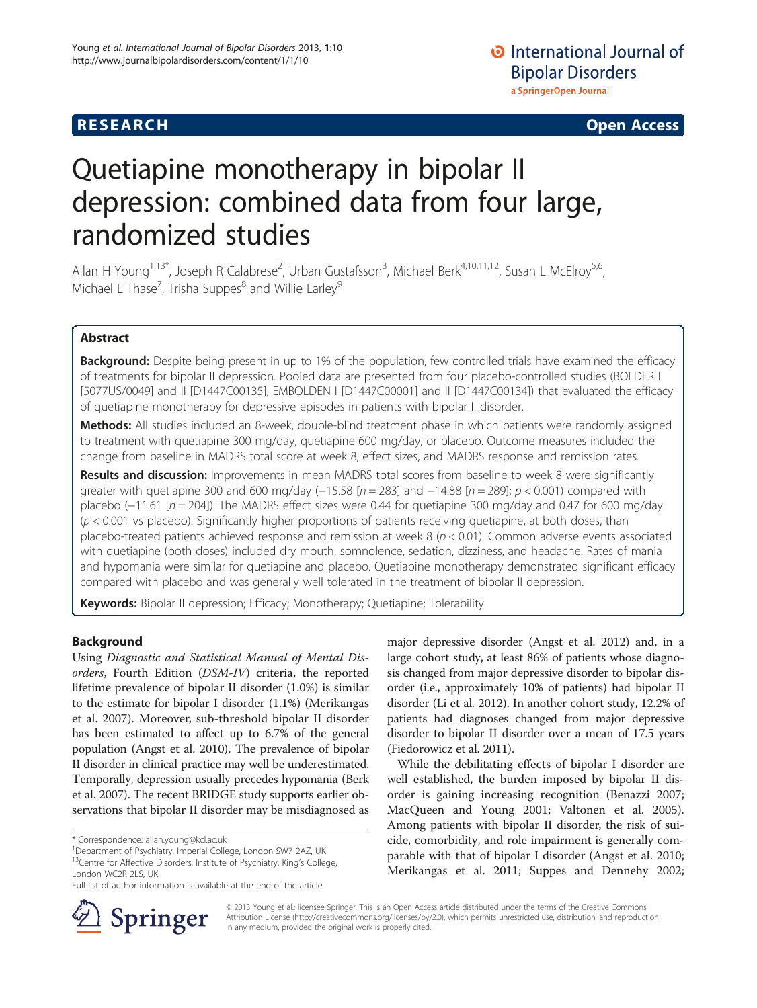## **RESEARCH CHE Open Access**

# Quetiapine monotherapy in bipolar II depression: combined data from four large, randomized studies

Allan H Young<sup>1,13\*</sup>, Joseph R Calabrese<sup>2</sup>, Urban Gustafsson<sup>3</sup>, Michael Berk<sup>4,10,11,12</sup>, Susan L McElroy<sup>5,6</sup>, Michael E Thase<sup>7</sup>, Trisha Suppes<sup>8</sup> and Willie Earley<sup>9</sup>

## Abstract

Background: Despite being present in up to 1% of the population, few controlled trials have examined the efficacy of treatments for bipolar II depression. Pooled data are presented from four placebo-controlled studies (BOLDER I [5077US/0049] and II [D1447C00135]; EMBOLDEN I [D1447C00001] and II [D1447C00134]) that evaluated the efficacy of quetiapine monotherapy for depressive episodes in patients with bipolar II disorder.

Methods: All studies included an 8-week, double-blind treatment phase in which patients were randomly assigned to treatment with quetiapine 300 mg/day, quetiapine 600 mg/day, or placebo. Outcome measures included the change from baseline in MADRS total score at week 8, effect sizes, and MADRS response and remission rates.

**Results and discussion:** Improvements in mean MADRS total scores from baseline to week 8 were significantly greater with quetiapine 300 and 600 mg/day (−15.58 [n = 283] and −14.88 [n = 289]; p < 0.001) compared with placebo (-11.61 [n = 204]). The MADRS effect sizes were 0.44 for quetiapine 300 mg/day and 0.47 for 600 mg/day  $(p < 0.001$  vs placebo). Significantly higher proportions of patients receiving quetiapine, at both doses, than placebo-treated patients achieved response and remission at week  $8 (p < 0.01)$ . Common adverse events associated with quetiapine (both doses) included dry mouth, somnolence, sedation, dizziness, and headache. Rates of mania and hypomania were similar for quetiapine and placebo. Quetiapine monotherapy demonstrated significant efficacy compared with placebo and was generally well tolerated in the treatment of bipolar II depression.

Keywords: Bipolar II depression; Efficacy; Monotherapy; Quetiapine; Tolerability

## Background

Using Diagnostic and Statistical Manual of Mental Disorders, Fourth Edition (DSM-IV) criteria, the reported lifetime prevalence of bipolar II disorder (1.0%) is similar to the estimate for bipolar I disorder (1.1%) (Merikangas et al. [2007](#page-11-0)). Moreover, sub-threshold bipolar II disorder has been estimated to affect up to 6.7% of the general population (Angst et al. [2010](#page-10-0)). The prevalence of bipolar II disorder in clinical practice may well be underestimated. Temporally, depression usually precedes hypomania (Berk et al. [2007](#page-10-0)). The recent BRIDGE study supports earlier observations that bipolar II disorder may be misdiagnosed as



While the debilitating effects of bipolar I disorder are well established, the burden imposed by bipolar II disorder is gaining increasing recognition (Benazzi [2007](#page-10-0); MacQueen and Young [2001](#page-11-0); Valtonen et al. [2005](#page-11-0)). Among patients with bipolar II disorder, the risk of suicide, comorbidity, and role impairment is generally comparable with that of bipolar I disorder (Angst et al. [2010](#page-10-0); Merikangas et al. [2011](#page-11-0); Suppes and Dennehy [2002](#page-11-0);



© 2013 Young et al.; licensee Springer. This is an Open Access article distributed under the terms of the Creative Commons Attribution License [\(http://creativecommons.org/licenses/by/2.0\)](http://creativecommons.org/licenses/by/2.0), which permits unrestricted use, distribution, and reproduction in any medium, provided the original work is properly cited.

<sup>\*</sup> Correspondence: [allan.young@kcl.ac.uk](mailto:allan.young@kcl.ac.uk) <sup>1</sup>

<sup>&</sup>lt;sup>1</sup>Department of Psychiatry, Imperial College, London SW7 2AZ, UK <sup>13</sup>Centre for Affective Disorders, Institute of Psychiatry, King's College,

London WC2R 2LS, UK

Full list of author information is available at the end of the article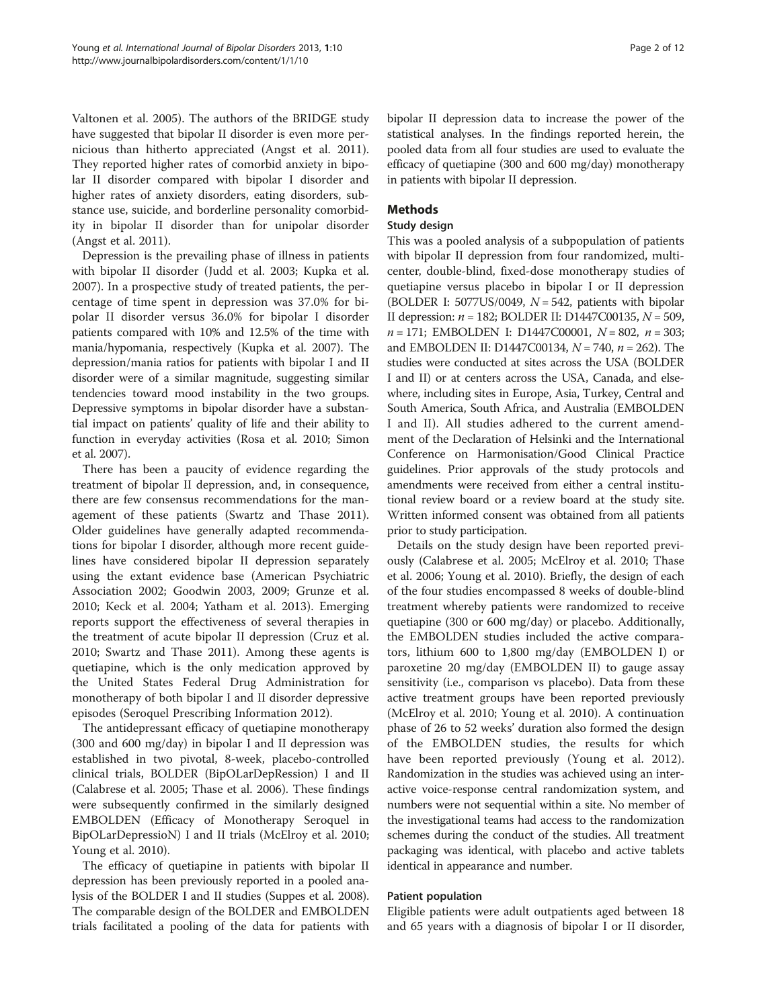Valtonen et al. [2005\)](#page-11-0). The authors of the BRIDGE study have suggested that bipolar II disorder is even more pernicious than hitherto appreciated (Angst et al. [2011](#page-10-0)). They reported higher rates of comorbid anxiety in bipolar II disorder compared with bipolar I disorder and higher rates of anxiety disorders, eating disorders, substance use, suicide, and borderline personality comorbidity in bipolar II disorder than for unipolar disorder (Angst et al. [2011](#page-10-0)).

Depression is the prevailing phase of illness in patients with bipolar II disorder (Judd et al. [2003](#page-10-0); Kupka et al. [2007](#page-10-0)). In a prospective study of treated patients, the percentage of time spent in depression was 37.0% for bipolar II disorder versus 36.0% for bipolar I disorder patients compared with 10% and 12.5% of the time with mania/hypomania, respectively (Kupka et al. [2007\)](#page-10-0). The depression/mania ratios for patients with bipolar I and II disorder were of a similar magnitude, suggesting similar tendencies toward mood instability in the two groups. Depressive symptoms in bipolar disorder have a substantial impact on patients' quality of life and their ability to function in everyday activities (Rosa et al. [2010;](#page-11-0) Simon et al. [2007](#page-11-0)).

There has been a paucity of evidence regarding the treatment of bipolar II depression, and, in consequence, there are few consensus recommendations for the management of these patients (Swartz and Thase [2011](#page-11-0)). Older guidelines have generally adapted recommendations for bipolar I disorder, although more recent guidelines have considered bipolar II depression separately using the extant evidence base (American Psychiatric Association [2002;](#page-10-0) Goodwin [2003, 2009;](#page-10-0) Grunze et al. [2010](#page-10-0); Keck et al. [2004;](#page-10-0) Yatham et al. [2013](#page-11-0)). Emerging reports support the effectiveness of several therapies in the treatment of acute bipolar II depression (Cruz et al. [2010](#page-10-0); Swartz and Thase [2011](#page-11-0)). Among these agents is quetiapine, which is the only medication approved by the United States Federal Drug Administration for monotherapy of both bipolar I and II disorder depressive episodes (Seroquel Prescribing Information [2012](#page-11-0)).

The antidepressant efficacy of quetiapine monotherapy (300 and 600 mg/day) in bipolar I and II depression was established in two pivotal, 8-week, placebo-controlled clinical trials, BOLDER (BipOLarDepRession) I and II (Calabrese et al. [2005;](#page-10-0) Thase et al. [2006\)](#page-11-0). These findings were subsequently confirmed in the similarly designed EMBOLDEN (Efficacy of Monotherapy Seroquel in BipOLarDepressioN) I and II trials (McElroy et al. [2010](#page-11-0); Young et al. [2010\)](#page-11-0).

The efficacy of quetiapine in patients with bipolar II depression has been previously reported in a pooled analysis of the BOLDER I and II studies (Suppes et al. [2008](#page-11-0)). The comparable design of the BOLDER and EMBOLDEN trials facilitated a pooling of the data for patients with bipolar II depression data to increase the power of the statistical analyses. In the findings reported herein, the pooled data from all four studies are used to evaluate the efficacy of quetiapine (300 and 600 mg/day) monotherapy in patients with bipolar II depression.

## Methods

#### Study design

This was a pooled analysis of a subpopulation of patients with bipolar II depression from four randomized, multicenter, double-blind, fixed-dose monotherapy studies of quetiapine versus placebo in bipolar I or II depression (BOLDER I: 5077US/0049,  $N = 542$ , patients with bipolar II depression:  $n = 182$ ; BOLDER II: D1447C00135,  $N = 509$ ,  $n = 171$ ; EMBOLDEN I: D1447C00001,  $N = 802$ ,  $n = 303$ ; and EMBOLDEN II: D1447C00134,  $N = 740$ ,  $n = 262$ ). The studies were conducted at sites across the USA (BOLDER I and II) or at centers across the USA, Canada, and elsewhere, including sites in Europe, Asia, Turkey, Central and South America, South Africa, and Australia (EMBOLDEN I and II). All studies adhered to the current amendment of the Declaration of Helsinki and the International Conference on Harmonisation/Good Clinical Practice guidelines. Prior approvals of the study protocols and amendments were received from either a central institutional review board or a review board at the study site. Written informed consent was obtained from all patients prior to study participation.

Details on the study design have been reported previously (Calabrese et al. [2005;](#page-10-0) McElroy et al. [2010](#page-11-0); Thase et al. [2006](#page-11-0); Young et al. [2010](#page-11-0)). Briefly, the design of each of the four studies encompassed 8 weeks of double-blind treatment whereby patients were randomized to receive quetiapine (300 or 600 mg/day) or placebo. Additionally, the EMBOLDEN studies included the active comparators, lithium 600 to 1,800 mg/day (EMBOLDEN I) or paroxetine 20 mg/day (EMBOLDEN II) to gauge assay sensitivity (i.e., comparison vs placebo). Data from these active treatment groups have been reported previously (McElroy et al. [2010](#page-11-0); Young et al. [2010\)](#page-11-0). A continuation phase of 26 to 52 weeks' duration also formed the design of the EMBOLDEN studies, the results for which have been reported previously (Young et al. [2012](#page-11-0)). Randomization in the studies was achieved using an interactive voice-response central randomization system, and numbers were not sequential within a site. No member of the investigational teams had access to the randomization schemes during the conduct of the studies. All treatment packaging was identical, with placebo and active tablets identical in appearance and number.

## Patient population

Eligible patients were adult outpatients aged between 18 and 65 years with a diagnosis of bipolar I or II disorder,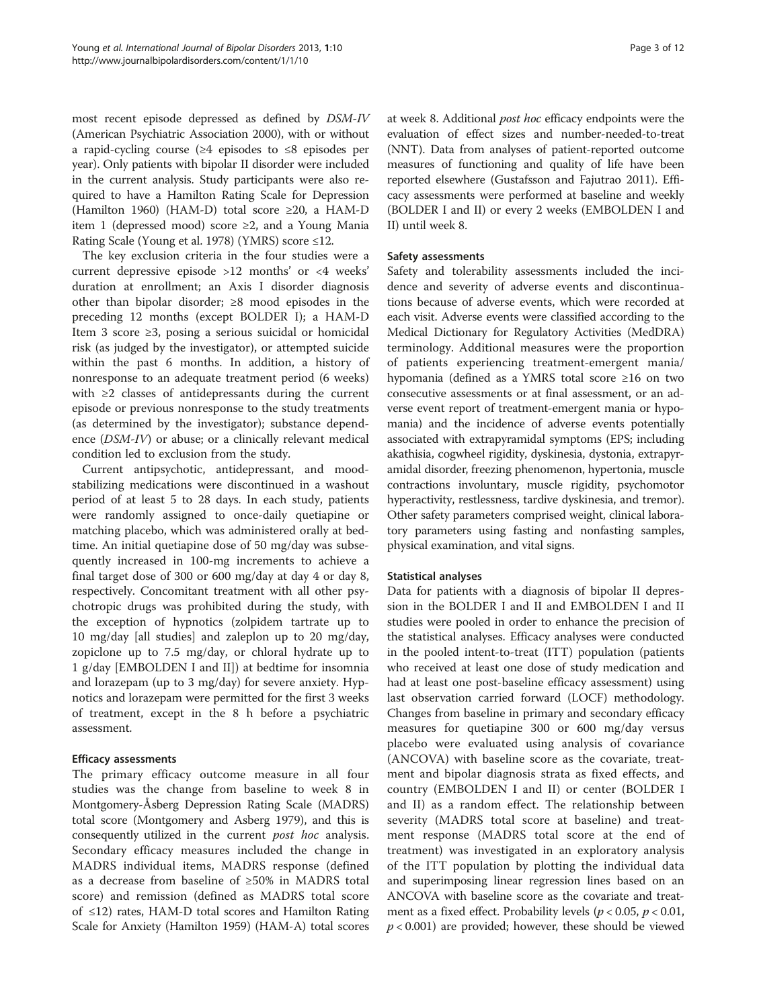most recent episode depressed as defined by DSM-IV (American Psychiatric Association [2000](#page-10-0)), with or without a rapid-cycling course (≥4 episodes to ≤8 episodes per year). Only patients with bipolar II disorder were included in the current analysis. Study participants were also required to have a Hamilton Rating Scale for Depression (Hamilton [1960](#page-10-0)) (HAM-D) total score ≥20, a HAM-D item 1 (depressed mood) score  $\geq 2$ , and a Young Mania Rating Scale (Young et al. [1978](#page-11-0)) (YMRS) score ≤12.

The key exclusion criteria in the four studies were a current depressive episode >12 months' or <4 weeks' duration at enrollment; an Axis I disorder diagnosis other than bipolar disorder; ≥8 mood episodes in the preceding 12 months (except BOLDER I); a HAM-D Item 3 score ≥3, posing a serious suicidal or homicidal risk (as judged by the investigator), or attempted suicide within the past 6 months. In addition, a history of nonresponse to an adequate treatment period (6 weeks) with ≥2 classes of antidepressants during the current episode or previous nonresponse to the study treatments (as determined by the investigator); substance dependence (DSM-IV) or abuse; or a clinically relevant medical condition led to exclusion from the study.

Current antipsychotic, antidepressant, and moodstabilizing medications were discontinued in a washout period of at least 5 to 28 days. In each study, patients were randomly assigned to once-daily quetiapine or matching placebo, which was administered orally at bedtime. An initial quetiapine dose of 50 mg/day was subsequently increased in 100-mg increments to achieve a final target dose of 300 or 600 mg/day at day 4 or day 8, respectively. Concomitant treatment with all other psychotropic drugs was prohibited during the study, with the exception of hypnotics (zolpidem tartrate up to 10 mg/day [all studies] and zaleplon up to 20 mg/day, zopiclone up to 7.5 mg/day, or chloral hydrate up to 1 g/day [EMBOLDEN I and II]) at bedtime for insomnia and lorazepam (up to 3 mg/day) for severe anxiety. Hypnotics and lorazepam were permitted for the first 3 weeks of treatment, except in the 8 h before a psychiatric assessment.

## Efficacy assessments

The primary efficacy outcome measure in all four studies was the change from baseline to week 8 in Montgomery-Åsberg Depression Rating Scale (MADRS) total score (Montgomery and Asberg [1979](#page-11-0)), and this is consequently utilized in the current post hoc analysis. Secondary efficacy measures included the change in MADRS individual items, MADRS response (defined as a decrease from baseline of ≥50% in MADRS total score) and remission (defined as MADRS total score of ≤12) rates, HAM-D total scores and Hamilton Rating Scale for Anxiety (Hamilton [1959](#page-10-0)) (HAM-A) total scores at week 8. Additional post hoc efficacy endpoints were the evaluation of effect sizes and number-needed-to-treat (NNT). Data from analyses of patient-reported outcome measures of functioning and quality of life have been reported elsewhere (Gustafsson and Fajutrao [2011](#page-10-0)). Efficacy assessments were performed at baseline and weekly (BOLDER I and II) or every 2 weeks (EMBOLDEN I and II) until week 8.

## Safety assessments

Safety and tolerability assessments included the incidence and severity of adverse events and discontinuations because of adverse events, which were recorded at each visit. Adverse events were classified according to the Medical Dictionary for Regulatory Activities (MedDRA) terminology. Additional measures were the proportion of patients experiencing treatment-emergent mania/ hypomania (defined as a YMRS total score ≥16 on two consecutive assessments or at final assessment, or an adverse event report of treatment-emergent mania or hypomania) and the incidence of adverse events potentially associated with extrapyramidal symptoms (EPS; including akathisia, cogwheel rigidity, dyskinesia, dystonia, extrapyramidal disorder, freezing phenomenon, hypertonia, muscle contractions involuntary, muscle rigidity, psychomotor hyperactivity, restlessness, tardive dyskinesia, and tremor). Other safety parameters comprised weight, clinical laboratory parameters using fasting and nonfasting samples, physical examination, and vital signs.

## Statistical analyses

Data for patients with a diagnosis of bipolar II depression in the BOLDER I and II and EMBOLDEN I and II studies were pooled in order to enhance the precision of the statistical analyses. Efficacy analyses were conducted in the pooled intent-to-treat (ITT) population (patients who received at least one dose of study medication and had at least one post-baseline efficacy assessment) using last observation carried forward (LOCF) methodology. Changes from baseline in primary and secondary efficacy measures for quetiapine 300 or 600 mg/day versus placebo were evaluated using analysis of covariance (ANCOVA) with baseline score as the covariate, treatment and bipolar diagnosis strata as fixed effects, and country (EMBOLDEN I and II) or center (BOLDER I and II) as a random effect. The relationship between severity (MADRS total score at baseline) and treatment response (MADRS total score at the end of treatment) was investigated in an exploratory analysis of the ITT population by plotting the individual data and superimposing linear regression lines based on an ANCOVA with baseline score as the covariate and treatment as a fixed effect. Probability levels ( $p < 0.05$ ,  $p < 0.01$ ,  $p < 0.001$ ) are provided; however, these should be viewed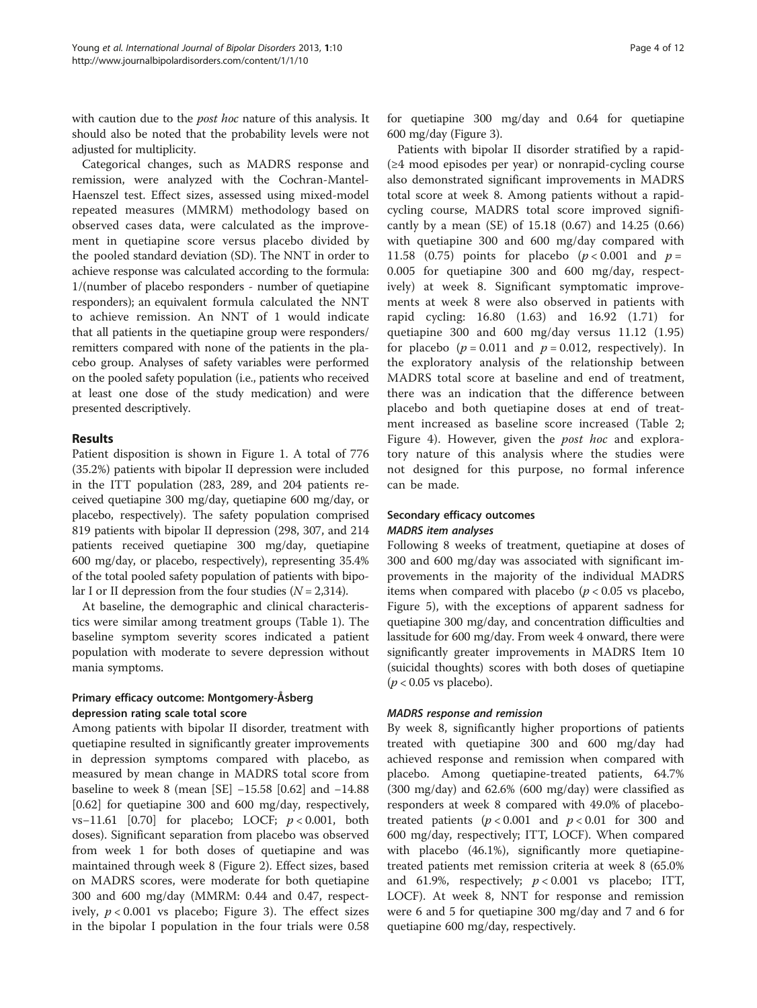with caution due to the *post hoc* nature of this analysis. It should also be noted that the probability levels were not adjusted for multiplicity.

Categorical changes, such as MADRS response and remission, were analyzed with the Cochran-Mantel-Haenszel test. Effect sizes, assessed using mixed-model repeated measures (MMRM) methodology based on observed cases data, were calculated as the improvement in quetiapine score versus placebo divided by the pooled standard deviation (SD). The NNT in order to achieve response was calculated according to the formula: 1/(number of placebo responders - number of quetiapine responders); an equivalent formula calculated the NNT to achieve remission. An NNT of 1 would indicate that all patients in the quetiapine group were responders/ remitters compared with none of the patients in the placebo group. Analyses of safety variables were performed on the pooled safety population (i.e., patients who received at least one dose of the study medication) and were presented descriptively.

#### Results

Patient disposition is shown in Figure [1.](#page-4-0) A total of 776 (35.2%) patients with bipolar II depression were included in the ITT population (283, 289, and 204 patients received quetiapine 300 mg/day, quetiapine 600 mg/day, or placebo, respectively). The safety population comprised 819 patients with bipolar II depression (298, 307, and 214 patients received quetiapine 300 mg/day, quetiapine 600 mg/day, or placebo, respectively), representing 35.4% of the total pooled safety population of patients with bipolar I or II depression from the four studies  $(N = 2,314)$ .

At baseline, the demographic and clinical characteristics were similar among treatment groups (Table [1\)](#page-4-0). The baseline symptom severity scores indicated a patient population with moderate to severe depression without mania symptoms.

## Primary efficacy outcome: Montgomery-Åsberg depression rating scale total score

Among patients with bipolar II disorder, treatment with quetiapine resulted in significantly greater improvements in depression symptoms compared with placebo, as measured by mean change in MADRS total score from baseline to week 8 (mean [SE] −15.58 [0.62] and −14.88 [0.62] for quetiapine 300 and 600 mg/day, respectively, vs−11.61 [0.70] for placebo; LOCF; p < 0.001, both doses). Significant separation from placebo was observed from week 1 for both doses of quetiapine and was maintained through week 8 (Figure [2\)](#page-5-0). Effect sizes, based on MADRS scores, were moderate for both quetiapine 300 and 600 mg/day (MMRM: 0.44 and 0.47, respectively,  $p < 0.001$  vs placebo; Figure [3](#page-5-0)). The effect sizes in the bipolar I population in the four trials were 0.58 for quetiapine 300 mg/day and 0.64 for quetiapine 600 mg/day (Figure [3](#page-5-0)).

Patients with bipolar II disorder stratified by a rapid- (≥4 mood episodes per year) or nonrapid-cycling course also demonstrated significant improvements in MADRS total score at week 8. Among patients without a rapidcycling course, MADRS total score improved significantly by a mean (SE) of 15.18 (0.67) and 14.25 (0.66) with quetiapine 300 and 600 mg/day compared with 11.58 (0.75) points for placebo  $(p < 0.001$  and  $p =$ 0.005 for quetiapine 300 and 600 mg/day, respectively) at week 8. Significant symptomatic improvements at week 8 were also observed in patients with rapid cycling: 16.80 (1.63) and 16.92 (1.71) for quetiapine 300 and 600 mg/day versus 11.12 (1.95) for placebo ( $p = 0.011$  and  $p = 0.012$ , respectively). In the exploratory analysis of the relationship between MADRS total score at baseline and end of treatment, there was an indication that the difference between placebo and both quetiapine doses at end of treatment increased as baseline score increased (Table [2](#page-6-0); Figure [4](#page-6-0)). However, given the *post hoc* and exploratory nature of this analysis where the studies were not designed for this purpose, no formal inference can be made.

## Secondary efficacy outcomes MADRS item analyses

Following 8 weeks of treatment, quetiapine at doses of 300 and 600 mg/day was associated with significant improvements in the majority of the individual MADRS items when compared with placebo ( $p < 0.05$  vs placebo, Figure [5](#page-7-0)), with the exceptions of apparent sadness for quetiapine 300 mg/day, and concentration difficulties and lassitude for 600 mg/day. From week 4 onward, there were significantly greater improvements in MADRS Item 10 (suicidal thoughts) scores with both doses of quetiapine  $(p < 0.05$  vs placebo).

## MADRS response and remission

By week 8, significantly higher proportions of patients treated with quetiapine 300 and 600 mg/day had achieved response and remission when compared with placebo. Among quetiapine-treated patients, 64.7% (300 mg/day) and 62.6% (600 mg/day) were classified as responders at week 8 compared with 49.0% of placebotreated patients  $(p < 0.001$  and  $p < 0.01$  for 300 and 600 mg/day, respectively; ITT, LOCF). When compared with placebo (46.1%), significantly more quetiapinetreated patients met remission criteria at week 8 (65.0% and 61.9%, respectively;  $p < 0.001$  vs placebo; ITT, LOCF). At week 8, NNT for response and remission were 6 and 5 for quetiapine 300 mg/day and 7 and 6 for quetiapine 600 mg/day, respectively.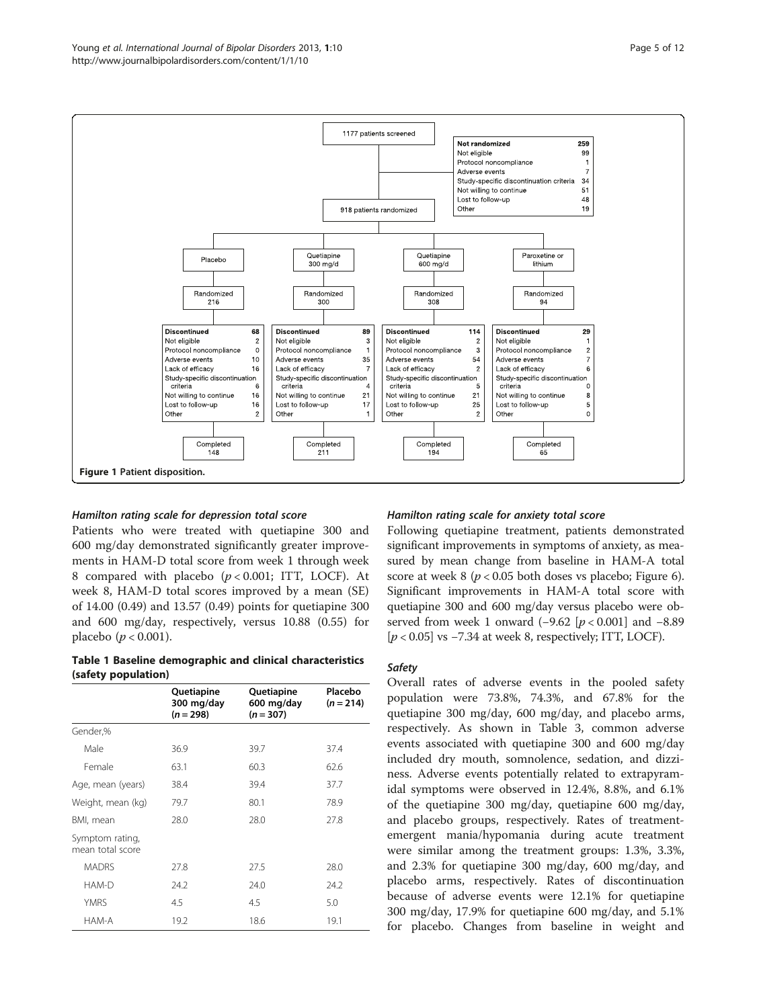

<span id="page-4-0"></span>

#### Hamilton rating scale for depression total score

Patients who were treated with quetiapine 300 and 600 mg/day demonstrated significantly greater improvements in HAM-D total score from week 1 through week 8 compared with placebo  $(p < 0.001$ ; ITT, LOCF). At week 8, HAM-D total scores improved by a mean (SE) of 14.00 (0.49) and 13.57 (0.49) points for quetiapine 300 and 600 mg/day, respectively, versus 10.88 (0.55) for placebo ( $p < 0.001$ ).

## Table 1 Baseline demographic and clinical characteristics (safety population)

|                                     | Quetiapine<br>300 mg/day<br>$(n = 298)$ | Quetiapine<br>600 mg/day<br>$(n = 307)$ | Placebo<br>$(n = 214)$ |
|-------------------------------------|-----------------------------------------|-----------------------------------------|------------------------|
| Gender,%                            |                                         |                                         |                        |
| Male                                | 36.9                                    | 39.7                                    | 37.4                   |
| Female                              | 63.1                                    | 60.3                                    | 62.6                   |
| Age, mean (years)                   | 38.4                                    | 39.4                                    | 37.7                   |
| Weight, mean (kg)                   | 79.7                                    | 80.1                                    | 78.9                   |
| BMI, mean                           | 28.0                                    | 28.0                                    | 27.8                   |
| Symptom rating,<br>mean total score |                                         |                                         |                        |
| <b>MADRS</b>                        | 27.8                                    | 27.5                                    | 28.0                   |
| HAM-D                               | 24.2                                    | 24.0                                    | 24.2                   |
| <b>YMRS</b>                         | 4.5                                     | 4.5                                     | 5.0                    |
| HAM-A                               | 19.2                                    | 18.6                                    | 19.1                   |

#### Hamilton rating scale for anxiety total score

Following quetiapine treatment, patients demonstrated significant improvements in symptoms of anxiety, as measured by mean change from baseline in HAM-A total score at week  $8 (p < 0.05$  both doses vs placebo; Figure [6](#page-7-0)). Significant improvements in HAM-A total score with quetiapine 300 and 600 mg/day versus placebo were observed from week 1 onward (−9.62 [ $p$  < 0.001] and −8.89 [p < 0.05] vs −7.34 at week 8, respectively; ITT, LOCF).

#### Safety

Overall rates of adverse events in the pooled safety population were 73.8%, 74.3%, and 67.8% for the quetiapine 300 mg/day, 600 mg/day, and placebo arms, respectively. As shown in Table [3](#page-8-0), common adverse events associated with quetiapine 300 and 600 mg/day included dry mouth, somnolence, sedation, and dizziness. Adverse events potentially related to extrapyramidal symptoms were observed in 12.4%, 8.8%, and 6.1% of the quetiapine 300 mg/day, quetiapine 600 mg/day, and placebo groups, respectively. Rates of treatmentemergent mania/hypomania during acute treatment were similar among the treatment groups: 1.3%, 3.3%, and 2.3% for quetiapine 300 mg/day, 600 mg/day, and placebo arms, respectively. Rates of discontinuation because of adverse events were 12.1% for quetiapine 300 mg/day, 17.9% for quetiapine 600 mg/day, and 5.1% for placebo. Changes from baseline in weight and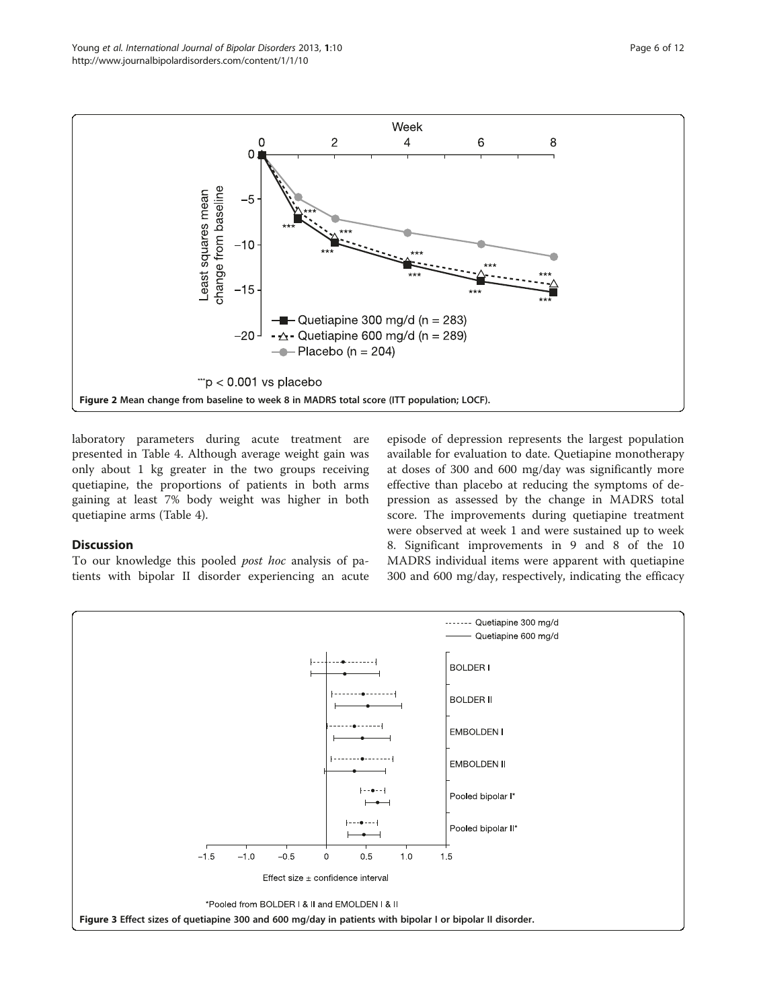<span id="page-5-0"></span>

laboratory parameters during acute treatment are presented in Table [4](#page-8-0). Although average weight gain was only about 1 kg greater in the two groups receiving quetiapine, the proportions of patients in both arms gaining at least 7% body weight was higher in both quetiapine arms (Table [4](#page-8-0)).

## Discussion

To our knowledge this pooled post hoc analysis of patients with bipolar II disorder experiencing an acute episode of depression represents the largest population available for evaluation to date. Quetiapine monotherapy at doses of 300 and 600 mg/day was significantly more effective than placebo at reducing the symptoms of depression as assessed by the change in MADRS total score. The improvements during quetiapine treatment were observed at week 1 and were sustained up to week 8. Significant improvements in 9 and 8 of the 10 MADRS individual items were apparent with quetiapine 300 and 600 mg/day, respectively, indicating the efficacy

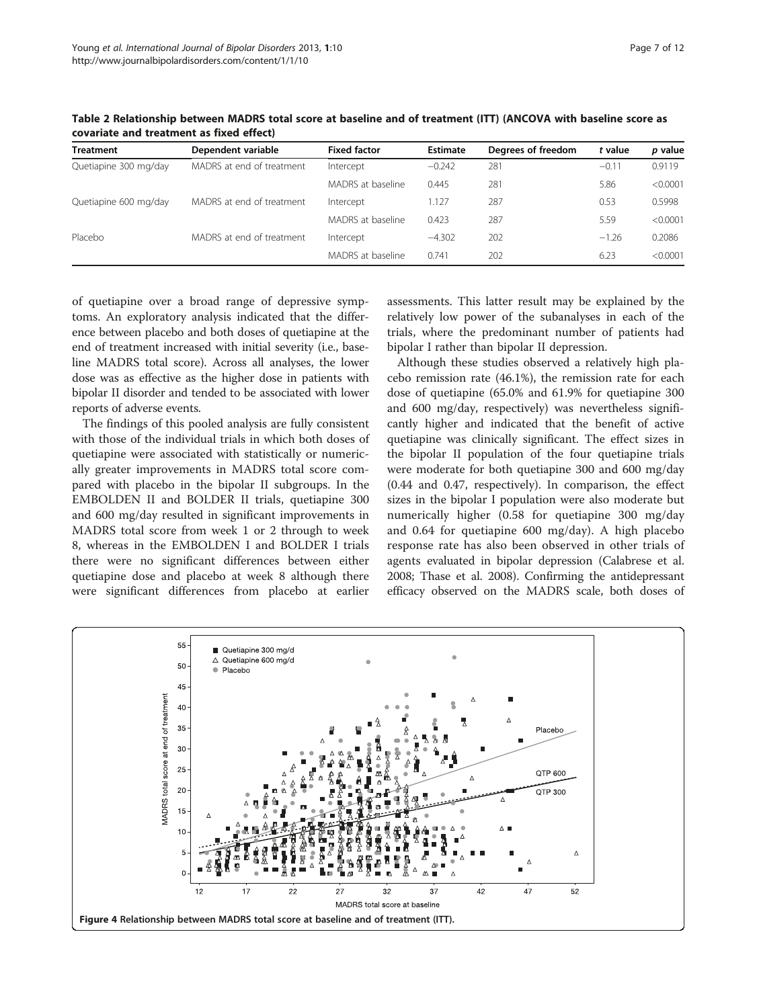| <b>Treatment</b>      | Dependent variable        | <b>Fixed factor</b> | <b>Estimate</b> | Degrees of freedom | t value | p value  |
|-----------------------|---------------------------|---------------------|-----------------|--------------------|---------|----------|
| Quetiapine 300 mg/day | MADRS at end of treatment | Intercept           | $-0.242$        | 281                | $-0.11$ | 0.9119   |
|                       |                           | MADRS at baseline   | 0.445           | 281                | 5.86    | < 0.0001 |
| Quetiapine 600 mg/day | MADRS at end of treatment | Intercept           | 1.127           | 287                | 0.53    | 0.5998   |
|                       |                           | MADRS at baseline   | 0.423           | 287                | 5.59    | < 0.0001 |
| Placebo               | MADRS at end of treatment | Intercept           | $-4.302$        | 202                | $-1.26$ | 0.2086   |
|                       |                           | MADRS at baseline   | 0.741           | 202                | 6.23    | < 0.0001 |

<span id="page-6-0"></span>Table 2 Relationship between MADRS total score at baseline and of treatment (ITT) (ANCOVA with baseline score as covariate and treatment as fixed effect)

of quetiapine over a broad range of depressive symptoms. An exploratory analysis indicated that the difference between placebo and both doses of quetiapine at the end of treatment increased with initial severity (i.e., baseline MADRS total score). Across all analyses, the lower dose was as effective as the higher dose in patients with bipolar II disorder and tended to be associated with lower reports of adverse events.

The findings of this pooled analysis are fully consistent with those of the individual trials in which both doses of quetiapine were associated with statistically or numerically greater improvements in MADRS total score compared with placebo in the bipolar II subgroups. In the EMBOLDEN II and BOLDER II trials, quetiapine 300 and 600 mg/day resulted in significant improvements in MADRS total score from week 1 or 2 through to week 8, whereas in the EMBOLDEN I and BOLDER I trials there were no significant differences between either quetiapine dose and placebo at week 8 although there were significant differences from placebo at earlier assessments. This latter result may be explained by the relatively low power of the subanalyses in each of the trials, where the predominant number of patients had bipolar I rather than bipolar II depression.

Although these studies observed a relatively high placebo remission rate (46.1%), the remission rate for each dose of quetiapine (65.0% and 61.9% for quetiapine 300 and 600 mg/day, respectively) was nevertheless significantly higher and indicated that the benefit of active quetiapine was clinically significant. The effect sizes in the bipolar II population of the four quetiapine trials were moderate for both quetiapine 300 and 600 mg/day (0.44 and 0.47, respectively). In comparison, the effect sizes in the bipolar I population were also moderate but numerically higher (0.58 for quetiapine 300 mg/day and 0.64 for quetiapine 600 mg/day). A high placebo response rate has also been observed in other trials of agents evaluated in bipolar depression (Calabrese et al. [2008;](#page-10-0) Thase et al. [2008](#page-11-0)). Confirming the antidepressant efficacy observed on the MADRS scale, both doses of

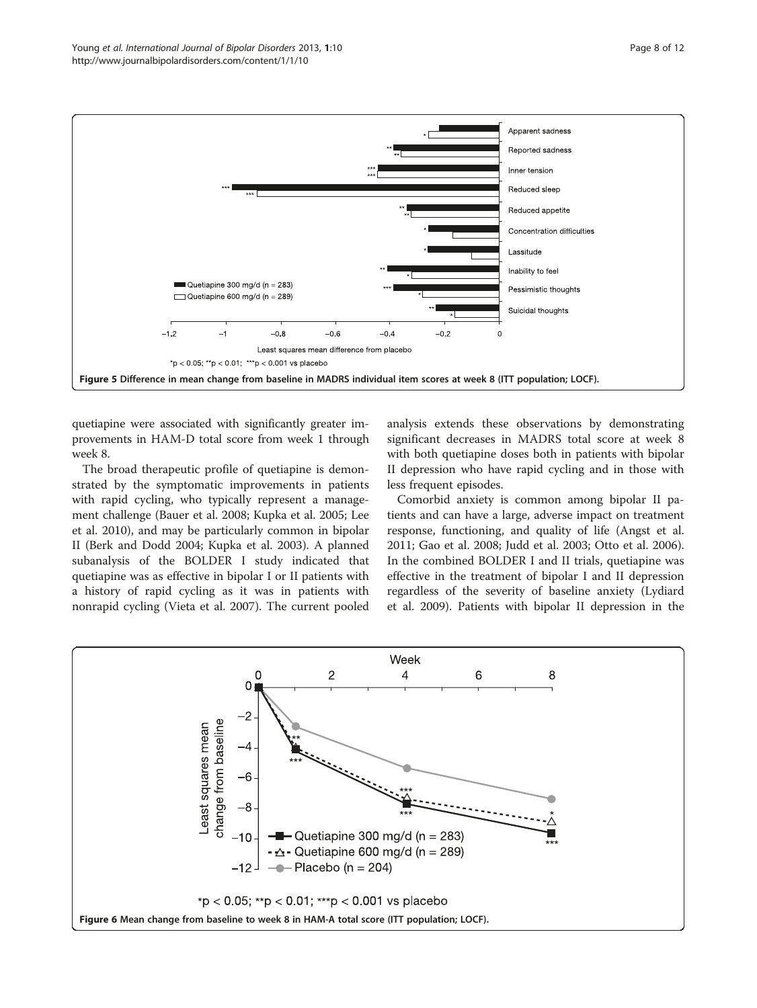<span id="page-7-0"></span>

quetiapine were associated with significantly greater improvements in HAM-D total score from week 1 through week 8.

The broad therapeutic profile of quetiapine is demonstrated by the symptomatic improvements in patients with rapid cycling, who typically represent a management challenge (Bauer et al. [2008](#page-10-0); Kupka et al. [2005](#page-10-0); Lee et al. [2010\)](#page-10-0), and may be particularly common in bipolar II (Berk and Dodd [2004;](#page-10-0) Kupka et al. [2003\)](#page-10-0). A planned subanalysis of the BOLDER I study indicated that quetiapine was as effective in bipolar I or II patients with a history of rapid cycling as it was in patients with nonrapid cycling (Vieta et al. [2007\)](#page-11-0). The current pooled

analysis extends these observations by demonstrating significant decreases in MADRS total score at week 8 with both quetiapine doses both in patients with bipolar II depression who have rapid cycling and in those with less frequent episodes.

Comorbid anxiety is common among bipolar II patients and can have a large, adverse impact on treatment response, functioning, and quality of life (Angst et al. [2011](#page-10-0); Gao et al. [2008;](#page-10-0) Judd et al. [2003;](#page-10-0) Otto et al. [2006](#page-11-0)). In the combined BOLDER I and II trials, quetiapine was effective in the treatment of bipolar I and II depression regardless of the severity of baseline anxiety (Lydiard et al. [2009](#page-11-0)). Patients with bipolar II depression in the

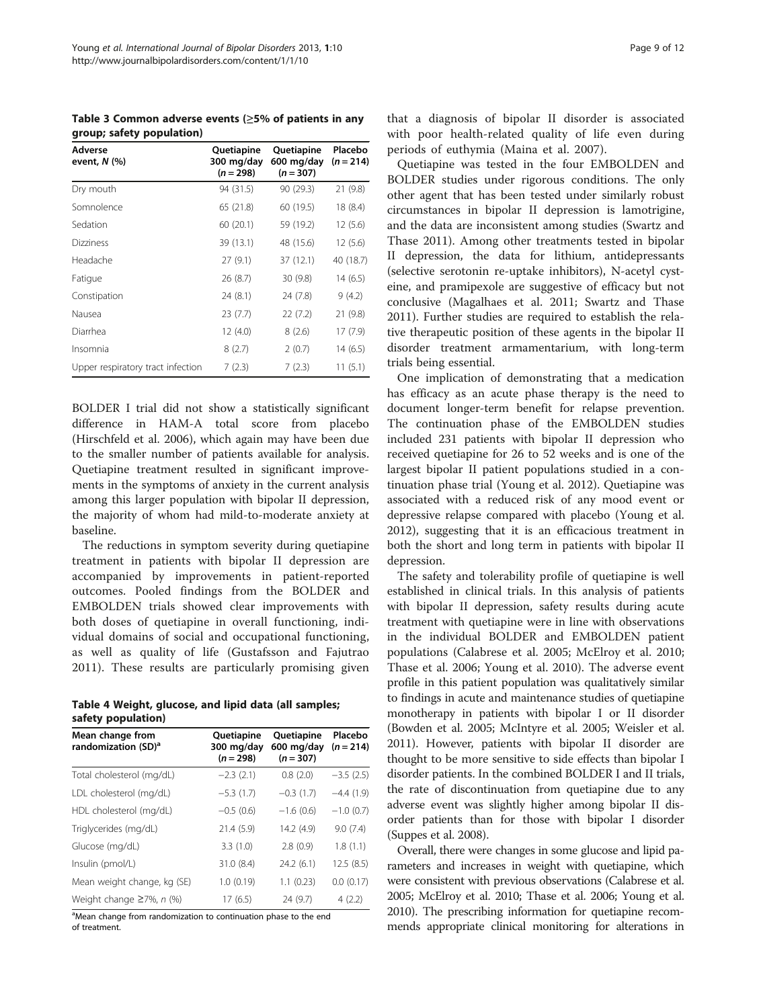<span id="page-8-0"></span>Table 3 Common adverse events (≥5% of patients in any group; safety population)

| Adverse<br>event, $N$ (%)         | Quetiapine<br>300 mg/day<br>$(n = 298)$ | Quetiapine<br>600 mg/day<br>$(n = 307)$ | Placebo<br>$(n = 214)$ |
|-----------------------------------|-----------------------------------------|-----------------------------------------|------------------------|
| Dry mouth                         | 94 (31.5)                               | 90 (29.3)                               | 21 (9.8)               |
| Somnolence                        | 65 (21.8)                               | 60 (19.5)                               | 18 (8.4)               |
| Sedation                          | 60 (20.1)                               | 59 (19.2)                               | 12(5.6)                |
| <b>Dizziness</b>                  | 39 (13.1)                               | 48 (15.6)                               | 12(5.6)                |
| Headache                          | 27(9.1)                                 | 37 (12.1)                               | 40 (18.7)              |
| Fatigue                           | 26(8.7)                                 | 30(9.8)                                 | 14(6.5)                |
| Constipation                      | 24(8.1)                                 | 24 (7.8)                                | 9(4.2)                 |
| Nausea                            | 23(7.7)                                 | 22 (7.2)                                | 21 (9.8)               |
| Diarrhea                          | 12 (4.0)                                | 8(2.6)                                  | 17 (7.9)               |
| Insomnia                          | 8(2.7)                                  | 2(0.7)                                  | 14 (6.5)               |
| Upper respiratory tract infection | 7(2.3)                                  | 7(2.3)                                  | 11(5.1)                |

BOLDER I trial did not show a statistically significant difference in HAM-A total score from placebo (Hirschfeld et al. [2006\)](#page-10-0), which again may have been due to the smaller number of patients available for analysis. Quetiapine treatment resulted in significant improvements in the symptoms of anxiety in the current analysis among this larger population with bipolar II depression, the majority of whom had mild-to-moderate anxiety at baseline.

The reductions in symptom severity during quetiapine treatment in patients with bipolar II depression are accompanied by improvements in patient-reported outcomes. Pooled findings from the BOLDER and EMBOLDEN trials showed clear improvements with both doses of quetiapine in overall functioning, individual domains of social and occupational functioning, as well as quality of life (Gustafsson and Fajutrao [2011\)](#page-10-0). These results are particularly promising given

| Table 4 Weight, glucose, and lipid data (all samples; |  |  |
|-------------------------------------------------------|--|--|
| safety population)                                    |  |  |

| Mean change from<br>randomization (SD) <sup>a</sup> | Quetiapine<br>300 mg/day<br>$(n = 298)$ | Quetiapine<br>600 mg/day<br>$(n = 307)$ | Placebo<br>$(n = 214)$ |
|-----------------------------------------------------|-----------------------------------------|-----------------------------------------|------------------------|
| Total cholesterol (mg/dL)                           | $-2.3(2.1)$                             | 0.8(2.0)                                | $-3.5(2.5)$            |
| LDL cholesterol (mg/dL)                             | $-5.3(1.7)$                             | $-0.3(1.7)$                             | $-4.4(1.9)$            |
| HDL cholesterol (mg/dL)                             | $-0.5(0.6)$                             | $-1.6(0.6)$                             | $-1.0(0.7)$            |
| Triglycerides (mg/dL)                               | 21.4 (5.9)                              | 14.2 (4.9)                              | 9.0(7.4)               |
| Glucose (mg/dL)                                     | 3.3(1.0)                                | 2.8(0.9)                                | 1.8(1.1)               |
| Insulin (pmol/L)                                    | 31.0 (8.4)                              | 24.2(6.1)                               | 12.5(8.5)              |
| Mean weight change, kg (SE)                         | 1.0(0.19)                               | 1.1(0.23)                               | 0.0(0.17)              |
| Weight change $\geq$ 7%, n (%)                      | 17(6.5)                                 | 24 (9.7)                                | 4(2.2)                 |

<sup>a</sup>Mean change from randomization to continuation phase to the end of treatment.

that a diagnosis of bipolar II disorder is associated with poor health-related quality of life even during periods of euthymia (Maina et al. [2007](#page-11-0)).

Quetiapine was tested in the four EMBOLDEN and BOLDER studies under rigorous conditions. The only other agent that has been tested under similarly robust circumstances in bipolar II depression is lamotrigine, and the data are inconsistent among studies (Swartz and Thase [2011\)](#page-11-0). Among other treatments tested in bipolar II depression, the data for lithium, antidepressants (selective serotonin re-uptake inhibitors), N-acetyl cysteine, and pramipexole are suggestive of efficacy but not conclusive (Magalhaes et al. [2011](#page-11-0); Swartz and Thase [2011](#page-11-0)). Further studies are required to establish the relative therapeutic position of these agents in the bipolar II disorder treatment armamentarium, with long-term trials being essential.

One implication of demonstrating that a medication has efficacy as an acute phase therapy is the need to document longer-term benefit for relapse prevention. The continuation phase of the EMBOLDEN studies included 231 patients with bipolar II depression who received quetiapine for 26 to 52 weeks and is one of the largest bipolar II patient populations studied in a continuation phase trial (Young et al. [2012\)](#page-11-0). Quetiapine was associated with a reduced risk of any mood event or depressive relapse compared with placebo (Young et al. [2012](#page-11-0)), suggesting that it is an efficacious treatment in both the short and long term in patients with bipolar II depression.

The safety and tolerability profile of quetiapine is well established in clinical trials. In this analysis of patients with bipolar II depression, safety results during acute treatment with quetiapine were in line with observations in the individual BOLDER and EMBOLDEN patient populations (Calabrese et al. [2005](#page-10-0); McElroy et al. [2010](#page-11-0); Thase et al. [2006;](#page-11-0) Young et al. [2010\)](#page-11-0). The adverse event profile in this patient population was qualitatively similar to findings in acute and maintenance studies of quetiapine monotherapy in patients with bipolar I or II disorder (Bowden et al. [2005](#page-10-0); McIntyre et al. [2005;](#page-11-0) Weisler et al. [2011\)](#page-11-0). However, patients with bipolar II disorder are thought to be more sensitive to side effects than bipolar I disorder patients. In the combined BOLDER I and II trials, the rate of discontinuation from quetiapine due to any adverse event was slightly higher among bipolar II disorder patients than for those with bipolar I disorder (Suppes et al. [2008\)](#page-11-0).

Overall, there were changes in some glucose and lipid parameters and increases in weight with quetiapine, which were consistent with previous observations (Calabrese et al. [2005;](#page-10-0) McElroy et al. [2010;](#page-11-0) Thase et al. [2006;](#page-11-0) Young et al. [2010\)](#page-11-0). The prescribing information for quetiapine recommends appropriate clinical monitoring for alterations in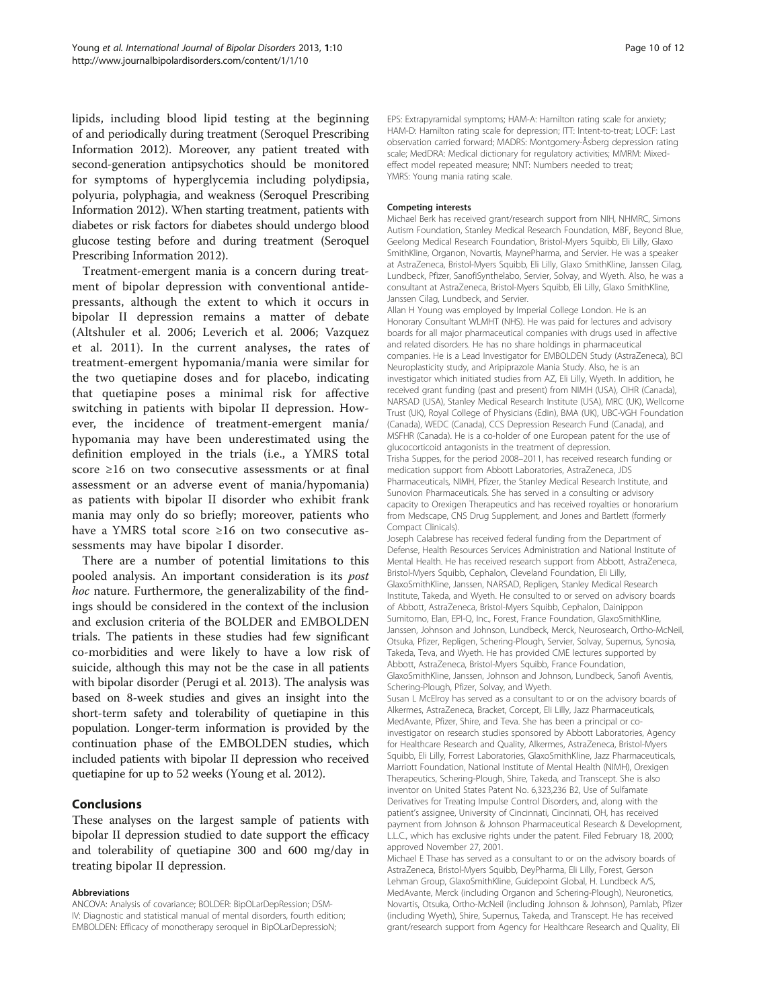lipids, including blood lipid testing at the beginning of and periodically during treatment (Seroquel Prescribing Information [2012\)](#page-11-0). Moreover, any patient treated with second-generation antipsychotics should be monitored for symptoms of hyperglycemia including polydipsia, polyuria, polyphagia, and weakness (Seroquel Prescribing Information [2012\)](#page-11-0). When starting treatment, patients with diabetes or risk factors for diabetes should undergo blood glucose testing before and during treatment (Seroquel Prescribing Information [2012](#page-11-0)).

Treatment-emergent mania is a concern during treatment of bipolar depression with conventional antidepressants, although the extent to which it occurs in bipolar II depression remains a matter of debate (Altshuler et al. [2006;](#page-10-0) Leverich et al. [2006](#page-10-0); Vazquez et al. [2011](#page-11-0)). In the current analyses, the rates of treatment-emergent hypomania/mania were similar for the two quetiapine doses and for placebo, indicating that quetiapine poses a minimal risk for affective switching in patients with bipolar II depression. However, the incidence of treatment-emergent mania/ hypomania may have been underestimated using the definition employed in the trials (i.e., a YMRS total score ≥16 on two consecutive assessments or at final assessment or an adverse event of mania/hypomania) as patients with bipolar II disorder who exhibit frank mania may only do so briefly; moreover, patients who have a YMRS total score ≥16 on two consecutive assessments may have bipolar I disorder.

There are a number of potential limitations to this pooled analysis. An important consideration is its post hoc nature. Furthermore, the generalizability of the findings should be considered in the context of the inclusion and exclusion criteria of the BOLDER and EMBOLDEN trials. The patients in these studies had few significant co-morbidities and were likely to have a low risk of suicide, although this may not be the case in all patients with bipolar disorder (Perugi et al. [2013\)](#page-11-0). The analysis was based on 8-week studies and gives an insight into the short-term safety and tolerability of quetiapine in this population. Longer-term information is provided by the continuation phase of the EMBOLDEN studies, which included patients with bipolar II depression who received quetiapine for up to 52 weeks (Young et al. [2012\)](#page-11-0).

#### Conclusions

These analyses on the largest sample of patients with bipolar II depression studied to date support the efficacy and tolerability of quetiapine 300 and 600 mg/day in treating bipolar II depression.

#### Abbreviations

ANCOVA: Analysis of covariance; BOLDER: BipOLarDepRession; DSM-IV: Diagnostic and statistical manual of mental disorders, fourth edition; EMBOLDEN: Efficacy of monotherapy seroquel in BipOLarDepressioN;

EPS: Extrapyramidal symptoms; HAM-A: Hamilton rating scale for anxiety; HAM-D: Hamilton rating scale for depression; ITT: Intent-to-treat; LOCF: Last observation carried forward; MADRS: Montgomery-Åsberg depression rating scale; MedDRA: Medical dictionary for regulatory activities; MMRM: Mixedeffect model repeated measure; NNT: Numbers needed to treat; YMRS: Young mania rating scale.

#### Competing interests

Michael Berk has received grant/research support from NIH, NHMRC, Simons Autism Foundation, Stanley Medical Research Foundation, MBF, Beyond Blue, Geelong Medical Research Foundation, Bristol-Myers Squibb, Eli Lilly, Glaxo SmithKline, Organon, Novartis, MaynePharma, and Servier. He was a speaker at AstraZeneca, Bristol-Myers Squibb, Eli Lilly, Glaxo SmithKline, Janssen Cilag, Lundbeck, Pfizer, SanofiSynthelabo, Servier, Solvay, and Wyeth. Also, he was a consultant at AstraZeneca, Bristol-Myers Squibb, Eli Lilly, Glaxo SmithKline, Janssen Cilag, Lundbeck, and Servier.

Allan H Young was employed by Imperial College London. He is an Honorary Consultant WLMHT (NHS). He was paid for lectures and advisory boards for all major pharmaceutical companies with drugs used in affective and related disorders. He has no share holdings in pharmaceutical companies. He is a Lead Investigator for EMBOLDEN Study (AstraZeneca), BCI Neuroplasticity study, and Aripiprazole Mania Study. Also, he is an investigator which initiated studies from AZ, Eli Lilly, Wyeth. In addition, he received grant funding (past and present) from NIMH (USA), CIHR (Canada), NARSAD (USA), Stanley Medical Research Institute (USA), MRC (UK), Wellcome Trust (UK), Royal College of Physicians (Edin), BMA (UK), UBC-VGH Foundation (Canada), WEDC (Canada), CCS Depression Research Fund (Canada), and MSFHR (Canada). He is a co-holder of one European patent for the use of glucocorticoid antagonists in the treatment of depression. Trisha Suppes, for the period 2008–2011, has received research funding or medication support from Abbott Laboratories, AstraZeneca, JDS

Pharmaceuticals, NIMH, Pfizer, the Stanley Medical Research Institute, and Sunovion Pharmaceuticals. She has served in a consulting or advisory capacity to Orexigen Therapeutics and has received royalties or honorarium from Medscape, CNS Drug Supplement, and Jones and Bartlett (formerly Compact Clinicals).

Joseph Calabrese has received federal funding from the Department of Defense, Health Resources Services Administration and National Institute of Mental Health. He has received research support from Abbott, AstraZeneca, Bristol-Myers Squibb, Cephalon, Cleveland Foundation, Eli Lilly, GlaxoSmithKline, Janssen, NARSAD, Repligen, Stanley Medical Research Institute, Takeda, and Wyeth. He consulted to or served on advisory boards of Abbott, AstraZeneca, Bristol-Myers Squibb, Cephalon, Dainippon Sumitomo, Elan, EPI-Q, Inc., Forest, France Foundation, GlaxoSmithKline, Janssen, Johnson and Johnson, Lundbeck, Merck, Neurosearch, Ortho-McNeil, Otsuka, Pfizer, Repligen, Schering-Plough, Servier, Solvay, Supernus, Synosia, Takeda, Teva, and Wyeth. He has provided CME lectures supported by Abbott, AstraZeneca, Bristol-Myers Squibb, France Foundation, GlaxoSmithKline, Janssen, Johnson and Johnson, Lundbeck, Sanofi Aventis, Schering-Plough, Pfizer, Solvay, and Wyeth.

Susan L McElroy has served as a consultant to or on the advisory boards of Alkermes, AstraZeneca, Bracket, Corcept, Eli Lilly, Jazz Pharmaceuticals, MedAvante, Pfizer, Shire, and Teva. She has been a principal or coinvestigator on research studies sponsored by Abbott Laboratories, Agency for Healthcare Research and Quality, Alkermes, AstraZeneca, Bristol-Myers Squibb, Eli Lilly, Forrest Laboratories, GlaxoSmithKline, Jazz Pharmaceuticals, Marriott Foundation, National Institute of Mental Health (NIMH), Orexigen Therapeutics, Schering-Plough, Shire, Takeda, and Transcept. She is also inventor on United States Patent No. 6,323,236 B2, Use of Sulfamate Derivatives for Treating Impulse Control Disorders, and, along with the patient's assignee, University of Cincinnati, Cincinnati, OH, has received payment from Johnson & Johnson Pharmaceutical Research & Development, L.L.C., which has exclusive rights under the patent. Filed February 18, 2000; approved November 27, 2001.

Michael E Thase has served as a consultant to or on the advisory boards of AstraZeneca, Bristol-Myers Squibb, DeyPharma, Eli Lilly, Forest, Gerson Lehman Group, GlaxoSmithKline, Guidepoint Global, H. Lundbeck A/S, MedAvante, Merck (including Organon and Schering-Plough), Neuronetics, Novartis, Otsuka, Ortho-McNeil (including Johnson & Johnson), Pamlab, Pfizer (including Wyeth), Shire, Supernus, Takeda, and Transcept. He has received grant/research support from Agency for Healthcare Research and Quality, Eli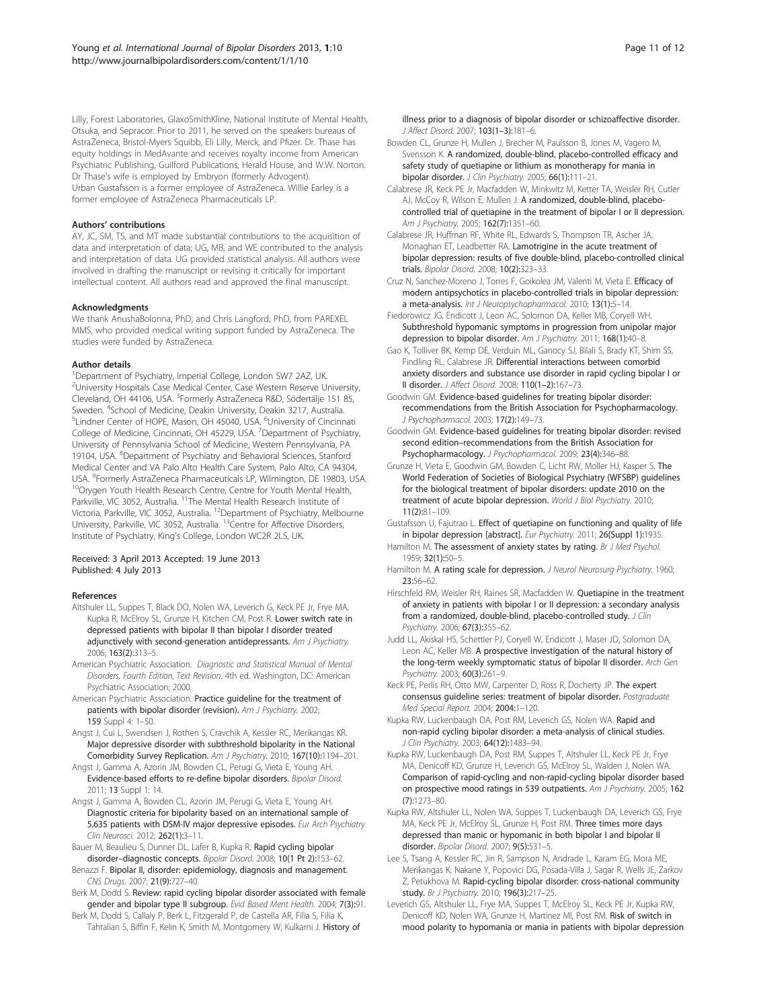<span id="page-10-0"></span>Lilly, Forest Laboratories, GlaxoSmithKline, National Institute of Mental Health, Otsuka, and Sepracor. Prior to 2011, he served on the speakers bureaus of AstraZeneca, Bristol-Myers Squibb, Eli Lilly, Merck, and Pfizer. Dr. Thase has equity holdings in MedAvante and receives royalty income from American Psychiatric Publishing, Guilford Publications, Herald House, and W.W. Norton. Dr Thase's wife is employed by Embryon (formerly Advogent). Urban Gustafsson is a former employee of AstraZeneca. Willie Earley is a former employee of AstraZeneca Pharmaceuticals LP.

#### Authors' contributions

AY, JC, SM, TS, and MT made substantial contributions to the acquisition of data and interpretation of data; UG, MB, and WE contributed to the analysis and interpretation of data. UG provided statistical analysis. All authors were involved in drafting the manuscript or revising it critically for important intellectual content. All authors read and approved the final manuscript.

#### Acknowledgments

We thank AnushaBolonna, PhD, and Chris Langford, PhD, from PAREXEL MMS, who provided medical writing support funded by AstraZeneca. The studies were funded by AstraZeneca.

#### Author details

<sup>1</sup>Department of Psychiatry, Imperial College, London SW7 2AZ, UK. <sup>2</sup>University Hospitals Case Medical Center, Case Western Reserve University, Cleveland, OH 44106, USA. <sup>3</sup>Formerly AstraZeneca R&D, Södertälje 151 85, Sweden. <sup>4</sup>School of Medicine, Deakin University, Deakin 3217, Australia.<br><sup>5</sup>Lindner Center of HOPE, Mason, OH 45040, USA, <sup>6</sup>University of Cincipr Lindner Center of HOPE, Mason, OH 45040, USA. <sup>6</sup>University of Cincinnati College of Medicine, Cincinnati, OH 45229, USA. <sup>7</sup> Department of Psychiatry, University of Pennsylvania School of Medicine, Western Pennsylvania, PA 19104, USA. <sup>8</sup>Department of Psychiatry and Behavioral Sciences, Stanford Medical Center and VA Palo Alto Health Care System, Palo Alto, CA 94304, USA. <sup>9</sup>Formerly AstraZeneca Pharmaceuticals LP, Wilmington, DE 19803, USA. <sup>10</sup>Orygen Youth Health Research Centre, Centre for Youth Mental Health, Parkville, VIC 3052, Australia. <sup>11</sup>The Mental Health Research Institute of Victoria, Parkville, VIC 3052, Australia. 12Department of Psychiatry, Melbourne University, Parkville, VIC 3052, Australia. 13Centre for Affective Disorders, Institute of Psychiatry, King's College, London WC2R 2LS, UK.

#### Received: 3 April 2013 Accepted: 19 June 2013 Published: 4 July 2013

#### References

- Altshuler LL, Suppes T, Black DO, Nolen WA, Leverich G, Keck PE Jr, Frye MA, Kupka R, McElroy SL, Grunze H, Kitchen CM, Post R. Lower switch rate in depressed patients with bipolar II than bipolar I disorder treated adjunctively with second-generation antidepressants. Am J Psychiatry. 2006; 163(2):313–5.
- American Psychiatric Association. Diagnostic and Statistical Manual of Mental Disorders, Fourth Edition, Text Revision. 4th ed. Washington, DC: American Psychiatric Association; 2000.
- American Psychiatric Association. Practice guideline for the treatment of patients with bipolar disorder (revision). Am J Psychiatry. 2002; 159 Suppl 4: 1–50.
- Angst J, Cui L, Swendsen J, Rothen S, Cravchik A, Kessler RC, Merikangas KR. Major depressive disorder with subthreshold bipolarity in the National Comorbidity Survey Replication. Am J Psychiatry. 2010; 167(10):1194–201.
- Angst J, Gamma A, Azorin JM, Bowden CL, Perugi G, Vieta E, Young AH. Evidence-based efforts to re-define bipolar disorders. Bipolar Disord. 2011; 13 Suppl 1: 14.
- Angst J, Gamma A, Bowden CL, Azorin JM, Perugi G, Vieta E, Young AH. Diagnostic criteria for bipolarity based on an international sample of 5,635 patients with DSM-IV major depressive episodes. Eur Arch Psychiatry Clin Neurosci. 2012; 262(1):3–11.
- Bauer M, Beaulieu S, Dunner DL, Lafer B, Kupka R. Rapid cycling bipolar disorder–diagnostic concepts. Bipolar Disord. 2008; 10(1 Pt 2):153–62.
- Benazzi F. Bipolar II, disorder: epidemiology, diagnosis and management. CNS Drugs. 2007; 21(9):727–40.
- Berk M, Dodd S. Review: rapid cycling bipolar disorder associated with female gender and bipolar type II subgroup. Evid Based Ment Health. 2004; 7(3):91.
- Berk M, Dodd S, Callaly P, Berk L, Fitzgerald P, de Castella AR, Filia S, Filia K, Tahtalian S, Biffin F, Kelin K, Smith M, Montgomery W, Kulkarni J. History of
- Bowden CL, Grunze H, Mullen J, Brecher M, Paulsson B, Jones M, Vagero M, Svensson K. A randomized, double-blind, placebo-controlled efficacy and safety study of quetiapine or lithium as monotherapy for mania in bipolar disorder. J Clin Psychiatry. 2005; 66(1):111-21.
- Calabrese JR, Keck PE Jr, Macfadden W, Minkwitz M, Ketter TA, Weisler RH, Cutler AJ, McCoy R, Wilson E, Mullen J. A randomized, double-blind, placebocontrolled trial of quetiapine in the treatment of bipolar I or II depression. Am J Psychiatry. 2005; 162(7):1351-60.
- Calabrese JR, Huffman RF, White RL, Edwards S, Thompson TR, Ascher JA, Monaghan ET, Leadbetter RA. Lamotrigine in the acute treatment of bipolar depression: results of five double-blind, placebo-controlled clinical trials. Bipolar Disord. 2008; 10(2):323–33.
- Cruz N, Sanchez-Moreno J, Torres F, Goikolea JM, Valenti M, Vieta E. Efficacy of modern antipsychotics in placebo-controlled trials in bipolar depression: a meta-analysis. Int J Neuropsychopharmacol. 2010; 13(1):5–14.
- Fiedorowicz JG, Endicott J, Leon AC, Solomon DA, Keller MB, Coryell WH. Subthreshold hypomanic symptoms in progression from unipolar major depression to bipolar disorder. Am J Psychiatry. 2011; 168(1):40-8.
- Gao K, Tolliver BK, Kemp DE, Verduin ML, Ganocy SJ, Bilali S, Brady KT, Shim SS, Findling RL, Calabrese JR. Differential interactions between comorbid anxiety disorders and substance use disorder in rapid cycling bipolar I or II disorder. J Affect Disord. 2008; 110(1–2):167–73.
- Goodwin GM. Evidence-based guidelines for treating bipolar disorder: recommendations from the British Association for Psychopharmacology. J Psychopharmacol. 2003; 17(2):149–73.
- Goodwin GM. Evidence-based guidelines for treating bipolar disorder: revised second edition–recommendations from the British Association for Psychopharmacology. J Psychopharmacol. 2009; 23(4):346–88.
- Grunze H, Vieta E, Goodwin GM, Bowden C, Licht RW, Moller HJ, Kasper S. The World Federation of Societies of Biological Psychiatry (WFSBP) guidelines for the biological treatment of bipolar disorders: update 2010 on the treatment of acute bipolar depression. World J Biol Psychiatry. 2010; 11(2):81–109.
- Gustafsson U, Fajutrao L. Effect of quetiapine on functioning and quality of life in bipolar depression [abstract]. Eur Psychiatry. 2011; 26(Suppl 1):1935.
- Hamilton M. The assessment of anxiety states by rating. Br J Med Psychol. 1959; 32(1):50–5.
- Hamilton M. A rating scale for depression. J Neurol Neurosurg Psychiatry. 1960; 23:56–62.
- Hirschfeld RM, Weisler RH, Raines SR, Macfadden W. Quetiapine in the treatment of anxiety in patients with bipolar I or II depression: a secondary analysis from a randomized, double-blind, placebo-controlled study. J Clin Psychiatry. 2006; 67(3):355-62.
- Judd LL, Akiskal HS, Schettler PJ, Coryell W, Endicott J, Maser JD, Solomon DA, Leon AC, Keller MB. A prospective investigation of the natural history of the long-term weekly symptomatic status of bipolar II disorder. Arch Gen Psychiatry. 2003; 60(3):261–9.
- Keck PE, Perlis RH, Otto MW, Carpenter D, Ross R, Docherty JP. The expert consensus guideline series: treatment of bipolar disorder. Postgraduate Med Special Report. 2004; 2004:1–120.
- Kupka RW, Luckenbaugh DA, Post RM, Leverich GS, Nolen WA. Rapid and non-rapid cycling bipolar disorder: a meta-analysis of clinical studies. J Clin Psychiatry. 2003; 64(12):1483–94.
- Kupka RW, Luckenbaugh DA, Post RM, Suppes T, Altshuler LL, Keck PE Jr, Frye MA, Denicoff KD, Grunze H, Leverich GS, McElroy SL, Walden J, Nolen WA. Comparison of rapid-cycling and non-rapid-cycling bipolar disorder based on prospective mood ratings in 539 outpatients. Am J Psychiatry. 2005; 162 (7):1273–80.
- Kupka RW, Altshuler LL, Nolen WA, Suppes T, Luckenbaugh DA, Leverich GS, Frye MA, Keck PE Jr, McElroy SL, Grunze H, Post RM. Three times more days depressed than manic or hypomanic in both bipolar I and bipolar II disorder. Bipolar Disord. 2007; 9(5):531–5.
- Lee S, Tsang A, Kessler RC, Jin R, Sampson N, Andrade L, Karam EG, Mora ME, Merikangas K, Nakane Y, Popovici DG, Posada-Villa J, Sagar R, Wells JE, Zarkov Z, Petukhova M. Rapid-cycling bipolar disorder: cross-national community study. Br J Psychiatry. 2010; 196(3):217-25.
- Leverich GS, Altshuler LL, Frye MA, Suppes T, McElroy SL, Keck PE Jr, Kupka RW, Denicoff KD, Nolen WA, Grunze H, Martinez MI, Post RM. Risk of switch in mood polarity to hypomania or mania in patients with bipolar depression